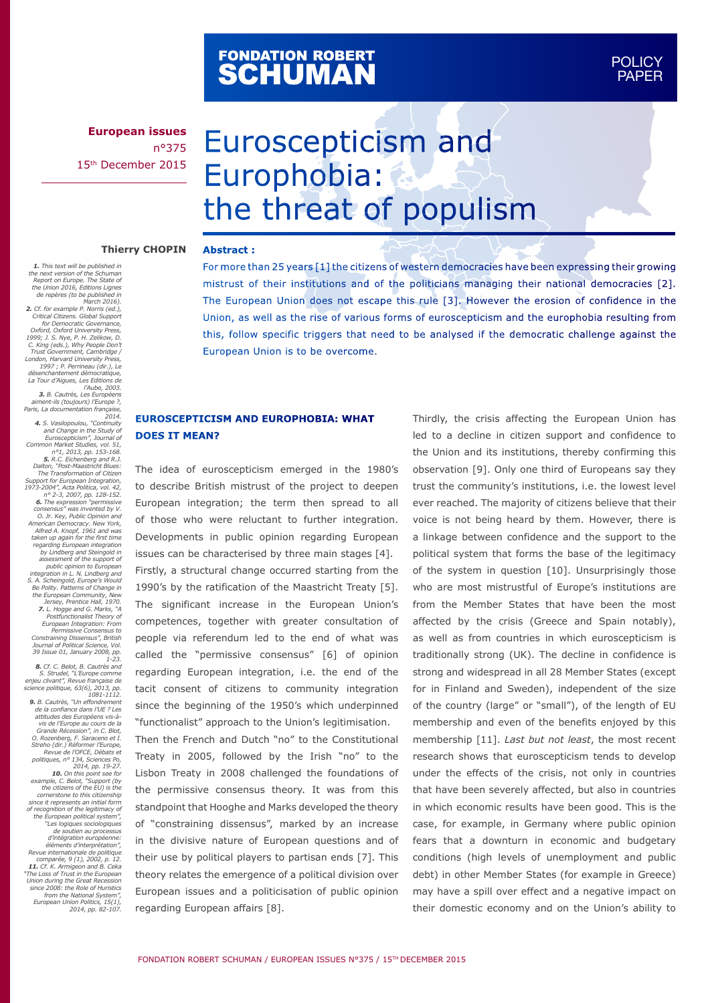# FONDATION ROBERT<br>**SCHUMAN**

**European issues** n°375 15th December 2015

# Euroscepticism and Europhobia: the threat of populism

#### **Thierry CHOPIN Abstract :**

*the next version of the Schuman Report on Europe. The State of the Union 2016, Editions Lignes de repères (to be published in March 2016). 2. Cf. for example P. Norris (ed.), Critical Citizens. Global Support for Democratic Governance, Oxford, Oxford University Press, 1999; J. S. Nye, P. H. Zelikow, D. C. King (eds.), Why People Don't Trust Government, Cambridge / London, Harvard University Press, 1997 ; P. Perrineau (dir.), Le désenchantement démocratique, La Tour d'Aigues, Les Editions de l'Aube, 2003. 3. B. Cautrès, Les Européens aiment-ils (toujours) l'Europe ?, Paris, La documentation française, 2014. 4. S. Vasilopoulou, "Continuity and Change in the Study of Euroscepticism", Journal of Common Market Studies, vol. 51, n°1, 2013, pp. 153-168. 5. R.C. Eichenberg and R.J. Dalton, "Post-Maastricht Blues: The Transformation of Citizen Support for European Integration, 1973-2004", Acta Politica, vol. 42, n° 2-3, 2007, pp. 128-152. 6. The expression "permissive consensus" was invented by V. O. Jr. Key, Public Opinion and American Democracy. New York, Alfred A. Knopf, 1961 and was taken up again for the first time regarding European integration by Lindberg and Steingold in assessment of the support of* 

*1. This text will be published in* 

public opinion to European<br>integration in L. N. Lindberg and<br>S. A. Scheingold, Europe's Would<br>Be Polity. Patterns of Change in<br>the European Community, New<br>Jersey, Prentice Hall, 1970. *7. L. Hogge and G. Marks, "A*  Postfunctionalist Theory of<br>European Integration: From<br>Permissive Consensus to<br>Constraining Dissensus", British<br>Journal of Political Science, Vol.<br>39 Issue 01, January 2008, pp. *1-23.*<br>**8.** Cf. C. Belot. B. Cautrès and

8. Cf. C. Belot, B. Cautrès and<br>S. Strudel, "L'Europe comme<br>enjeu clivant", Revue française de<br>science politique, 63(6), 2013, pp.<br>1081-1112.<br>9. B. Cautrès, "Un effondrement *de la confiance dans l'UE ? Les*  attitudes des Européens vis-à-<br>vis de l'Europe au cours de la<br>Grande Récession", in C. Blot,<br>O. Rozenberg, F. Saraceno et I.<br>Streho (dir.) Réformer l'Europe,<br>Revue de l'OFCE, Débats et<br>politiques, n° 134, Sciences Po,<br>2014 **10.** On this point see for<br>example, C. Belot, "Support (by<br>the citizens of the EU) is the<br>cornerstone to this citizenship<br>since it represents an initial form<br>of recognition of the legitimacy of *the European political system",*  "Les logiques sociologiques"<br>d'intégration européenne:<br>d'intégration européenne:<br>éléments d'interprétation",<br>Revue internationale de politique<br>comparée, 9 (1), 2002, p. 12.<br>11. Cf. K. Armigeon and B. Ceka "The Loss of Trust in the European<br>Union during the Great Recession<br>since 2008: the Role of Huristics<br>from the National System",<br>European Union Politics, 15(1),<br>2014, pp. 82-107.

For more than 25 years [1] the citizens of western democracies have been expressing their growing mistrust of their institutions and of the politicians managing their national democracies [2]. The European Union does not escape this rule [3]. However the erosion of confidence in the Union, as well as the rise of various forms of euroscepticism and the europhobia resulting from this, follow specific triggers that need to be analysed if the democratic challenge against the European Union is to be overcome.

## **EUROSCEPTICISM AND EUROPHOBIA: WHAT DOES IT MEAN?**

The idea of euroscepticism emerged in the 1980's to describe British mistrust of the project to deepen European integration; the term then spread to all of those who were reluctant to further integration. Developments in public opinion regarding European issues can be characterised by three main stages [4]. Firstly, a structural change occurred starting from the 1990's by the ratification of the Maastricht Treaty [5]. The significant increase in the European Union's competences, together with greater consultation of people via referendum led to the end of what was called the "permissive consensus" [6] of opinion regarding European integration, i.e. the end of the tacit consent of citizens to community integration since the beginning of the 1950's which underpinned "functionalist" approach to the Union's legitimisation.

Then the French and Dutch "no" to the Constitutional Treaty in 2005, followed by the Irish "no" to the Lisbon Treaty in 2008 challenged the foundations of the permissive consensus theory. It was from this standpoint that Hooghe and Marks developed the theory of "constraining dissensus", marked by an increase in the divisive nature of European questions and of their use by political players to partisan ends [7]. This theory relates the emergence of a political division over European issues and a politicisation of public opinion regarding European affairs [8].

Thirdly, the crisis affecting the European Union has led to a decline in citizen support and confidence to the Union and its institutions, thereby confirming this observation [9]. Only one third of Europeans say they trust the community's institutions, i.e. the lowest level ever reached. The majority of citizens believe that their voice is not being heard by them. However, there is a linkage between confidence and the support to the political system that forms the base of the legitimacy of the system in question [10]. Unsurprisingly those who are most mistrustful of Europe's institutions are from the Member States that have been the most affected by the crisis (Greece and Spain notably), as well as from countries in which euroscepticism is traditionally strong (UK). The decline in confidence is strong and widespread in all 28 Member States (except for in Finland and Sweden), independent of the size of the country (large" or "small"), of the length of EU membership and even of the benefits enjoyed by this membership [11]. *Last but not least*, the most recent research shows that euroscepticism tends to develop under the effects of the crisis, not only in countries that have been severely affected, but also in countries in which economic results have been good. This is the case, for example, in Germany where public opinion fears that a downturn in economic and budgetary conditions (high levels of unemployment and public debt) in other Member States (for example in Greece) may have a spill over effect and a negative impact on their domestic economy and on the Union's ability to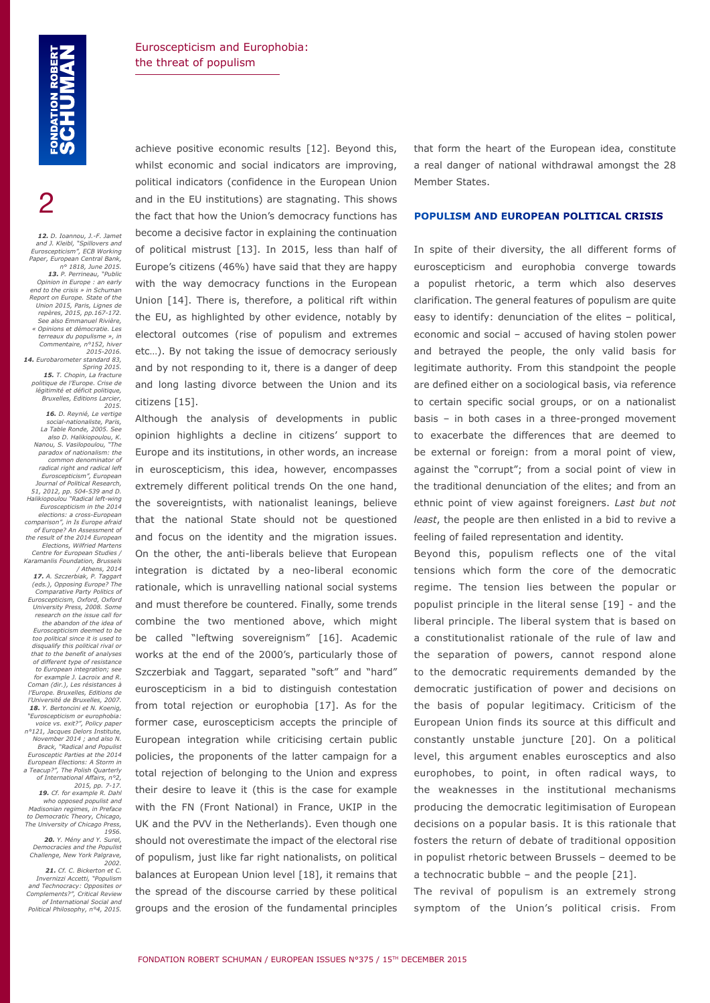2

*12. D. Ioannou, J.-F. Jamet and J. Kleibl, "Spillovers and Euroscepticism", ECB Working Paper, European Central Bank, n° 1818, June 2015. 13. P. Perrineau, "Public Opinion in Europe : an early end to the crisis » in Schuman Report on Europe. State of the Union 2015, Paris, Lignes de repères, 2015, pp.167-172. See also Emmanuel Rivière, « Opinions et démocratie. Les terreaux du populisme », in Commentaire, n°152, hiver 2015-2016. 14. Eurobarometer standard 83, Spring 2015. 15. T. Chopin, La fracture politique de l'Europe. Crise de légitimité et déficit politique, Bruxelles, Editions Larcier, 2015. 16. D. Reynié, Le vertige social-nationaliste, Paris, La Table Ronde, 2005. See also D. Halikiopoulou, K. Nanou, S. Vasilopoulou, "The paradox of nationalism: the common denominator of radical right and radical left Euroscepticism", European Journal of Political Research, 51, 2012, pp. 504-539 and D. Halikiopoulou "Radical left-wing Euroscepticism in the 2014 elections: a cross-European comparison", in Is Europe afraid of Europe? An Assessment of the result of the 2014 European Elections, Wilfried Martens Centre for European Studies / Karamanlis Foundation, Brussels / Athens, 2014 17. A. Szczerbiak, P. Taggart (eds.), Opposing Europe? The Comparative Party Politics of Euroscepticism, Oxford, Oxford University Press, 2008. Some research on the issue call for the abandon of the idea of Euroscepticism deemed to be too political since it is used to disqualify this political rival or that to the benefit of analyses of different type of resistance to European integration; see for example J. Lacroix and R. Coman (dir.), Les résistances à l'Europe. Bruxelles, Editions de l'Université de Bruxelles, 2007. 18. Y. Bertoncini et N. Koenig, "Euroscepticism or europhobia: voice vs. exit?", Policy paper n°121, Jacques Delors Institute, November 2014 ; and also N. Brack, "Radical and Populist Eurosceptic Parties at the 2014 European Elections: A Storm in a Teacup?", The Polish Quarterly of International Affairs, n°2, 2015, pp. 7-17. 19. Cf. for example R. Dahl who opposed populist and Madisonian regimes, in Preface to Democratic Theory, Chicago, The University of Chicago Press, 1956.*

*20. Y. Mény and Y. Surel, Democracies and the Populist Challenge, New York Palgrave, 2002.*

*21. Cf. C. Bickerton et C. Invernizzi Accetti, "Populism and Technocracy: Opposites or Complements?", Critical Review of International Social and Political Philosophy, n°4, 2015.* achieve positive economic results [12]. Beyond this, whilst economic and social indicators are improving, political indicators (confidence in the European Union and in the EU institutions) are stagnating. This shows the fact that how the Union's democracy functions has become a decisive factor in explaining the continuation of political mistrust [13]. In 2015, less than half of Europe's citizens (46%) have said that they are happy with the way democracy functions in the European Union [14]. There is, therefore, a political rift within the EU, as highlighted by other evidence, notably by electoral outcomes (rise of populism and extremes etc…). By not taking the issue of democracy seriously and by not responding to it, there is a danger of deep and long lasting divorce between the Union and its citizens [15].

Although the analysis of developments in public opinion highlights a decline in citizens' support to Europe and its institutions, in other words, an increase in euroscepticism, this idea, however, encompasses extremely different political trends On the one hand, the sovereigntists, with nationalist leanings, believe that the national State should not be questioned and focus on the identity and the migration issues. On the other, the anti-liberals believe that European integration is dictated by a neo-liberal economic rationale, which is unravelling national social systems and must therefore be countered. Finally, some trends combine the two mentioned above, which might be called "leftwing sovereignism" [16]. Academic works at the end of the 2000's, particularly those of Szczerbiak and Taggart, separated "soft" and "hard" euroscepticism in a bid to distinguish contestation from total rejection or europhobia [17]. As for the former case, euroscepticism accepts the principle of European integration while criticising certain public policies, the proponents of the latter campaign for a total rejection of belonging to the Union and express their desire to leave it (this is the case for example with the FN (Front National) in France, UKIP in the UK and the PVV in the Netherlands). Even though one should not overestimate the impact of the electoral rise of populism, just like far right nationalists, on political balances at European Union level [18], it remains that the spread of the discourse carried by these political groups and the erosion of the fundamental principles

that form the heart of the European idea, constitute a real danger of national withdrawal amongst the 28 Member States.

### **POPULISM AND EUROPEAN POLITICAL CRISIS**

In spite of their diversity, the all different forms of euroscepticism and europhobia converge towards a populist rhetoric, a term which also deserves clarification. The general features of populism are quite easy to identify: denunciation of the elites – political, economic and social – accused of having stolen power and betrayed the people, the only valid basis for legitimate authority. From this standpoint the people are defined either on a sociological basis, via reference to certain specific social groups, or on a nationalist basis – in both cases in a three-pronged movement to exacerbate the differences that are deemed to be external or foreign: from a moral point of view, against the "corrupt"; from a social point of view in the traditional denunciation of the elites; and from an ethnic point of view against foreigners. *Last but not least*, the people are then enlisted in a bid to revive a feeling of failed representation and identity.

Beyond this, populism reflects one of the vital tensions which form the core of the democratic regime. The tension lies between the popular or populist principle in the literal sense [19] - and the liberal principle. The liberal system that is based on a constitutionalist rationale of the rule of law and the separation of powers, cannot respond alone to the democratic requirements demanded by the democratic justification of power and decisions on the basis of popular legitimacy. Criticism of the European Union finds its source at this difficult and constantly unstable juncture [20]. On a political level, this argument enables eurosceptics and also europhobes, to point, in often radical ways, to the weaknesses in the institutional mechanisms producing the democratic legitimisation of European decisions on a popular basis. It is this rationale that fosters the return of debate of traditional opposition in populist rhetoric between Brussels – deemed to be a technocratic bubble – and the people [21].

The revival of populism is an extremely strong symptom of the Union's political crisis. From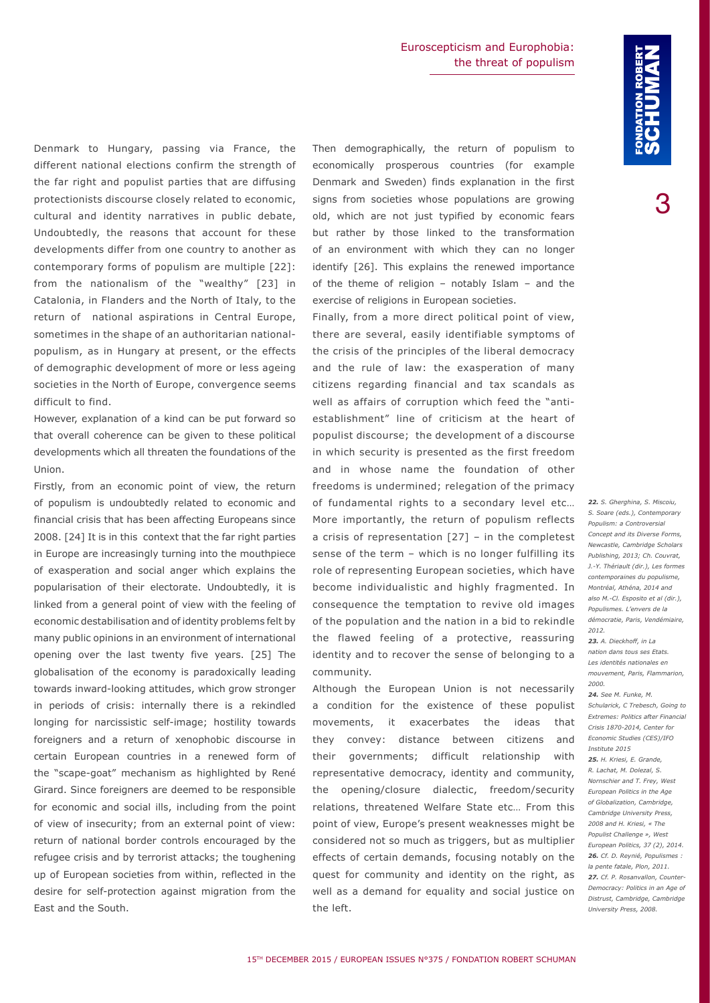3

Denmark to Hungary, passing via France, the different national elections confirm the strength of the far right and populist parties that are diffusing protectionists discourse closely related to economic, cultural and identity narratives in public debate, Undoubtedly, the reasons that account for these developments differ from one country to another as contemporary forms of populism are multiple [22]: from the nationalism of the "wealthy" [23] in Catalonia, in Flanders and the North of Italy, to the return of national aspirations in Central Europe, sometimes in the shape of an authoritarian nationalpopulism, as in Hungary at present, or the effects of demographic development of more or less ageing societies in the North of Europe, convergence seems difficult to find.

However, explanation of a kind can be put forward so that overall coherence can be given to these political developments which all threaten the foundations of the Union.

Firstly, from an economic point of view, the return of populism is undoubtedly related to economic and financial crisis that has been affecting Europeans since 2008. [24] It is in this context that the far right parties in Europe are increasingly turning into the mouthpiece of exasperation and social anger which explains the popularisation of their electorate. Undoubtedly, it is linked from a general point of view with the feeling of economic destabilisation and of identity problems felt by many public opinions in an environment of international opening over the last twenty five years. [25] The globalisation of the economy is paradoxically leading towards inward-looking attitudes, which grow stronger in periods of crisis: internally there is a rekindled longing for narcissistic self-image; hostility towards foreigners and a return of xenophobic discourse in certain European countries in a renewed form of the "scape-goat" mechanism as highlighted by René Girard. Since foreigners are deemed to be responsible for economic and social ills, including from the point of view of insecurity; from an external point of view: return of national border controls encouraged by the refugee crisis and by terrorist attacks; the toughening up of European societies from within, reflected in the desire for self-protection against migration from the East and the South.

Then demographically, the return of populism to economically prosperous countries (for example Denmark and Sweden) finds explanation in the first signs from societies whose populations are growing old, which are not just typified by economic fears but rather by those linked to the transformation of an environment with which they can no longer identify [26]. This explains the renewed importance of the theme of religion – notably Islam – and the exercise of religions in European societies.

Finally, from a more direct political point of view, there are several, easily identifiable symptoms of the crisis of the principles of the liberal democracy and the rule of law: the exasperation of many citizens regarding financial and tax scandals as well as affairs of corruption which feed the "antiestablishment" line of criticism at the heart of populist discourse; the development of a discourse in which security is presented as the first freedom and in whose name the foundation of other freedoms is undermined; relegation of the primacy of fundamental rights to a secondary level etc… More importantly, the return of populism reflects a crisis of representation [27] – in the completest sense of the term – which is no longer fulfilling its role of representing European societies, which have become individualistic and highly fragmented. In consequence the temptation to revive old images of the population and the nation in a bid to rekindle the flawed feeling of a protective, reassuring identity and to recover the sense of belonging to a community.

Although the European Union is not necessarily a condition for the existence of these populist movements, it exacerbates the ideas that they convey: distance between citizens and their governments; difficult relationship with representative democracy, identity and community, the opening/closure dialectic, freedom/security relations, threatened Welfare State etc… From this point of view, Europe's present weaknesses might be considered not so much as triggers, but as multiplier effects of certain demands, focusing notably on the quest for community and identity on the right, as well as a demand for equality and social justice on the left.

*22. S. Gherghina, S. Miscoiu, S. Soare (eds.), Contemporary Populism: a Controversial Concept and its Diverse Forms, Newcastle, Cambridge Scholars Publishing, 2013; Ch. Couvrat, J.-Y. Thériault (dir.), Les formes contemporaines du populisme, Montréal, Athéna, 2014 and also M.-Cl. Esposito et al (dir.), Populismes. L'envers de la démocratie, Paris, Vendémiaire, 2012. 23. A. Dieckhoff, in La nation dans tous ses Etats. Les identités nationales en mouvement, Paris, Flammarion,* 

*2000.* 

*24. See M. Funke, M. Schularick, C Trebesch, Going to Extremes: Politics after Financial Crisis 1870-2014, Center for Economic Studies (CES)/IFO Institute 2015 25. H. Kriesi, E. Grande, R. Lachat, M. Dolezal, S. Nornschier and T. Frey, West European Politics in the Age of Globalization, Cambridge, Cambridge University Press, 2008 and H. Kriesi, « The Populist Challenge », West European Politics, 37 (2), 2014. 26. Cf. D. Reynié, Populismes : la pente fatale, Plon, 2011. 27. Cf. P. Rosanvallon, Counter-Democracy: Politics in an Age of Distrust, Cambridge, Cambridge University Press, 2008.*